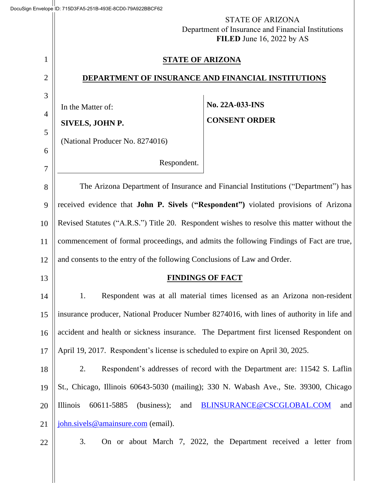|                | <b>STATE OF ARIZONA</b><br>Department of Insurance and Financial Institutions<br>FILED June 16, 2022 by AS |     |  |  |
|----------------|------------------------------------------------------------------------------------------------------------|-----|--|--|
| 1              | <b>STATE OF ARIZONA</b>                                                                                    |     |  |  |
| $\overline{2}$ | DEPARTMENT OF INSURANCE AND FINANCIAL INSTITUTIONS                                                         |     |  |  |
| 3              | No. 22A-033-INS                                                                                            |     |  |  |
| $\overline{4}$ | In the Matter of:<br><b>CONSENT ORDER</b><br>SIVELS, JOHN P.                                               |     |  |  |
| 5              |                                                                                                            |     |  |  |
| 6              | (National Producer No. 8274016)                                                                            |     |  |  |
| 7              | Respondent.                                                                                                |     |  |  |
| 8              | The Arizona Department of Insurance and Financial Institutions ("Department") has                          |     |  |  |
| 9              | received evidence that John P. Sivels ("Respondent") violated provisions of Arizona                        |     |  |  |
| 10             | Revised Statutes ("A.R.S.") Title 20. Respondent wishes to resolve this matter without the                 |     |  |  |
| 11             | commencement of formal proceedings, and admits the following Findings of Fact are true,                    |     |  |  |
| 12             | and consents to the entry of the following Conclusions of Law and Order.                                   |     |  |  |
| 13             | <b>FINDINGS OF FACT</b>                                                                                    |     |  |  |
| 14             | Respondent was at all material times licensed as an Arizona non-resident<br>1.                             |     |  |  |
| 15             | insurance producer, National Producer Number 8274016, with lines of authority in life and                  |     |  |  |
| 16             | accident and health or sickness insurance. The Department first licensed Respondent on                     |     |  |  |
| 17             | April 19, 2017. Respondent's license is scheduled to expire on April 30, 2025.                             |     |  |  |
| 18             | Respondent's addresses of record with the Department are: 11542 S. Laflin<br>2.                            |     |  |  |
| 19             | St., Chicago, Illinois 60643-5030 (mailing); 330 N. Wabash Ave., Ste. 39300, Chicago                       |     |  |  |
| 20             | Illinois<br>60611-5885<br>(business);<br>BLINSURANCE@CSCGLOBAL.COM<br>and                                  | and |  |  |
| 21             | john.sivels@amainsure.com (email).                                                                         |     |  |  |
| 22             | 3.<br>On or about March 7, 2022, the Department received a letter from                                     |     |  |  |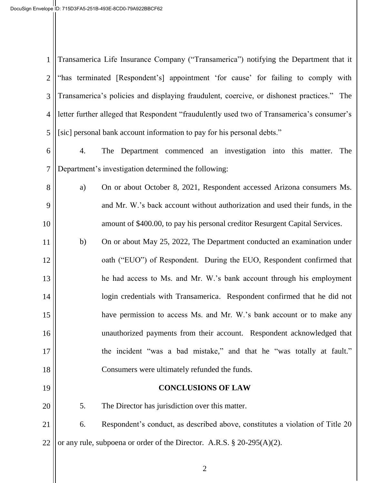| $\mathbf{1}$   | Transamerica Life Insurance Company ("Transamerica") notifying the Department that it      |                                                                               |  |  |  |  |
|----------------|--------------------------------------------------------------------------------------------|-------------------------------------------------------------------------------|--|--|--|--|
| $\mathbf{2}$   | "has terminated [Respondent's] appointment 'for cause' for failing to comply with          |                                                                               |  |  |  |  |
| 3              | Transamerica's policies and displaying fraudulent, coercive, or dishonest practices." The  |                                                                               |  |  |  |  |
| 4              | letter further alleged that Respondent "fraudulently used two of Transamerica's consumer's |                                                                               |  |  |  |  |
| 5              | [sic] personal bank account information to pay for his personal debts."                    |                                                                               |  |  |  |  |
| 6              | 4.                                                                                         | The Department commenced an investigation into this matter.<br>The            |  |  |  |  |
| $\overline{7}$ | Department's investigation determined the following:                                       |                                                                               |  |  |  |  |
| 8              | a)                                                                                         | On or about October 8, 2021, Respondent accessed Arizona consumers Ms.        |  |  |  |  |
| 9              |                                                                                            | and Mr. W.'s back account without authorization and used their funds, in the  |  |  |  |  |
| 10             |                                                                                            | amount of \$400.00, to pay his personal creditor Resurgent Capital Services.  |  |  |  |  |
| 11             | b)                                                                                         | On or about May 25, 2022, The Department conducted an examination under       |  |  |  |  |
| 12             |                                                                                            | oath ("EUO") of Respondent. During the EUO, Respondent confirmed that         |  |  |  |  |
| 13             |                                                                                            | he had access to Ms. and Mr. W.'s bank account through his employment         |  |  |  |  |
| 14             |                                                                                            | login credentials with Transamerica. Respondent confirmed that he did not     |  |  |  |  |
| 15             |                                                                                            | have permission to access Ms. and Mr. W.'s bank account or to make any        |  |  |  |  |
| 16             |                                                                                            | unauthorized payments from their account. Respondent acknowledged that        |  |  |  |  |
| 17             |                                                                                            | the incident "was a bad mistake," and that he "was totally at fault."         |  |  |  |  |
| 18             |                                                                                            | Consumers were ultimately refunded the funds.                                 |  |  |  |  |
| 19             |                                                                                            | <b>CONCLUSIONS OF LAW</b>                                                     |  |  |  |  |
| 20             | 5.                                                                                         | The Director has jurisdiction over this matter.                               |  |  |  |  |
| 21             | 6.                                                                                         | Respondent's conduct, as described above, constitutes a violation of Title 20 |  |  |  |  |
| 22             |                                                                                            | or any rule, subpoena or order of the Director. A.R.S. $\S 20-295(A)(2)$ .    |  |  |  |  |
|                |                                                                                            |                                                                               |  |  |  |  |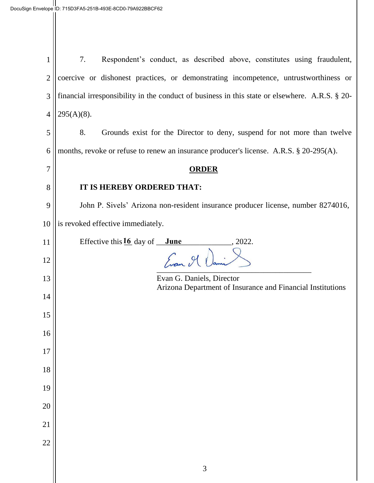| 1              | Respondent's conduct, as described above, constitutes using fraudulent,<br>7.                  |  |  |  |  |
|----------------|------------------------------------------------------------------------------------------------|--|--|--|--|
| $\overline{2}$ | coercive or dishonest practices, or demonstrating incompetence, untrustworthiness or           |  |  |  |  |
| 3              | financial irresponsibility in the conduct of business in this state or elsewhere. A.R.S. § 20- |  |  |  |  |
| $\overline{4}$ | $295(A)(8)$ .                                                                                  |  |  |  |  |
| 5              | 8.<br>Grounds exist for the Director to deny, suspend for not more than twelve                 |  |  |  |  |
| 6              | months, revoke or refuse to renew an insurance producer's license. A.R.S. § 20-295(A).         |  |  |  |  |
| 7              | <b>ORDER</b>                                                                                   |  |  |  |  |
| 8              | IT IS HEREBY ORDERED THAT:                                                                     |  |  |  |  |
| 9              | John P. Sivels' Arizona non-resident insurance producer license, number 8274016,               |  |  |  |  |
| 10             | is revoked effective immediately.                                                              |  |  |  |  |
| 11             | Effective this $16$ day of <u>June</u><br>2022.                                                |  |  |  |  |
| 12             | Evan III.                                                                                      |  |  |  |  |
| 13             | Evan G. Daniels, Director<br>Arizona Department of Insurance and Financial Institutions        |  |  |  |  |
| 14             |                                                                                                |  |  |  |  |
| 15             |                                                                                                |  |  |  |  |
| 16             |                                                                                                |  |  |  |  |
| 17             |                                                                                                |  |  |  |  |
| 18             |                                                                                                |  |  |  |  |
| 19             |                                                                                                |  |  |  |  |
| 20             |                                                                                                |  |  |  |  |
| 21             |                                                                                                |  |  |  |  |
| 22             |                                                                                                |  |  |  |  |
|                | $\mathfrak{Z}$                                                                                 |  |  |  |  |
|                |                                                                                                |  |  |  |  |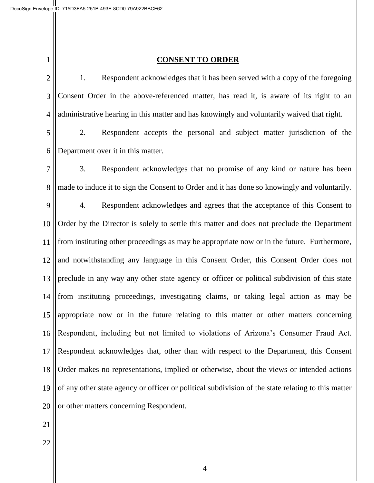1 2 3 4 5 6 7 8 9 10 11 12 13 14 15 16 17 18 19 20 21 22 **CONSENT TO ORDER** 1. Respondent acknowledges that it has been served with a copy of the foregoing Consent Order in the above-referenced matter, has read it, is aware of its right to an administrative hearing in this matter and has knowingly and voluntarily waived that right. 2. Respondent accepts the personal and subject matter jurisdiction of the Department over it in this matter. 3. Respondent acknowledges that no promise of any kind or nature has been made to induce it to sign the Consent to Order and it has done so knowingly and voluntarily. 4. Respondent acknowledges and agrees that the acceptance of this Consent to Order by the Director is solely to settle this matter and does not preclude the Department from instituting other proceedings as may be appropriate now or in the future. Furthermore, and notwithstanding any language in this Consent Order, this Consent Order does not preclude in any way any other state agency or officer or political subdivision of this state from instituting proceedings, investigating claims, or taking legal action as may be appropriate now or in the future relating to this matter or other matters concerning Respondent, including but not limited to violations of Arizona's Consumer Fraud Act. Respondent acknowledges that, other than with respect to the Department, this Consent Order makes no representations, implied or otherwise, about the views or intended actions of any other state agency or officer or political subdivision of the state relating to this matter or other matters concerning Respondent.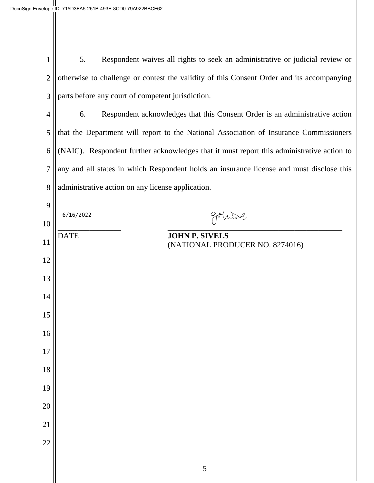| $1 \parallel$ | 5. | Respondent waives all rights to seek an administrative or judicial review or                    |
|---------------|----|-------------------------------------------------------------------------------------------------|
|               |    | $2$   otherwise to challenge or contest the validity of this Consent Order and its accompanying |
|               |    | $3$   parts before any court of competent jurisdiction.                                         |

 6. Respondent acknowledges that this Consent Order is an administrative action that the Department will report to the National Association of Insurance Commissioners (NAIC). Respondent further acknowledges that it must report this administrative action to any and all states in which Respondent holds an insurance license and must disclose this administrative action on any license application.

| 9      | 6/16/2022   | goluses                                                  |  |
|--------|-------------|----------------------------------------------------------|--|
| 10     |             |                                                          |  |
| 11     | <b>DATE</b> | <b>JOHN P. SIVELS</b><br>(NATIONAL PRODUCER NO. 8274016) |  |
| 12     |             |                                                          |  |
| 13     |             |                                                          |  |
| 14     |             |                                                          |  |
| 15     |             |                                                          |  |
| 16     |             |                                                          |  |
| $17\,$ |             |                                                          |  |
| 18     |             |                                                          |  |
| 19     |             |                                                          |  |
| 20     |             |                                                          |  |
| 21     |             |                                                          |  |
| 22     |             |                                                          |  |
|        |             | $\sqrt{5}$                                               |  |